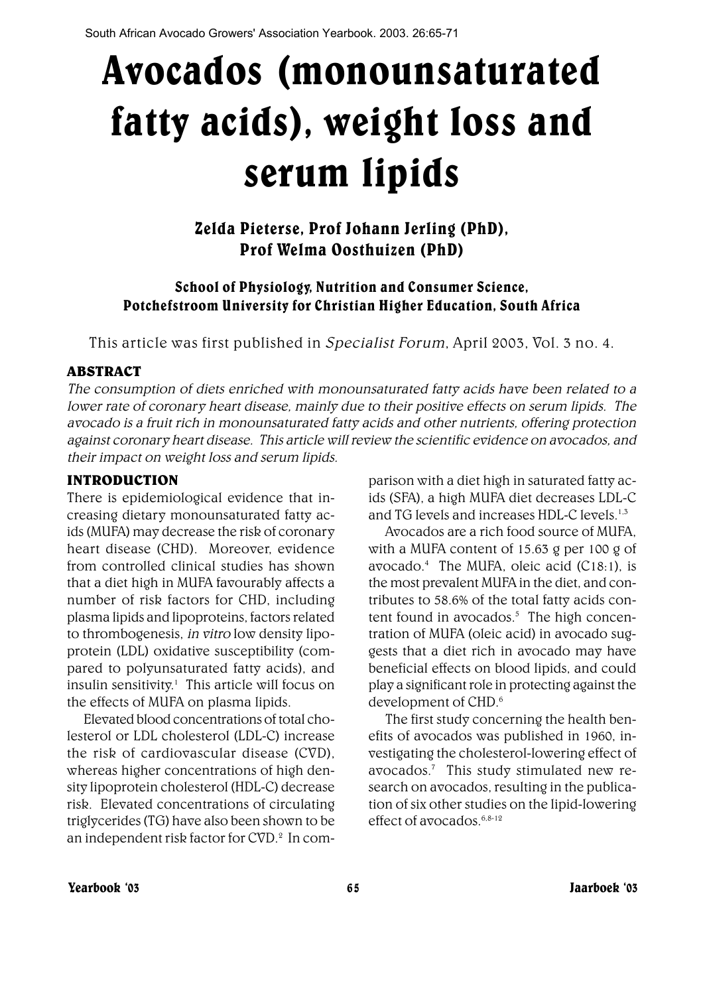# Avocados (monounsaturated fatty acids), weight loss and serum lipids

## Zelda Pieterse, Prof Johann Jerling (PhD), Prof Welma Oosthuizen (PhD)

## School of Physiology, Nutrition and Consumer Science, Potchefstroom University for Christian Higher Education, South Africa

This article was first published in Specialist Forum, April 2003, Vol. 3 no. 4.

## ABSTRACT

The consumption of diets enriched with monounsaturated fatty acids have been related to a lower rate of coronary heart disease, mainly due to their positive effects on serum lipids. The avocado is a fruit rich in monounsaturated fatty acids and other nutrients, offering protection against coronary heart disease. This article will review the scientific evidence on avocados, and their impact on weight loss and serum lipids.

## INTRODUCTION

There is epidemiological evidence that increasing dietary monounsaturated fatty acids (MUFA) may decrease the risk of coronary heart disease (CHD). Moreover, evidence from controlled clinical studies has shown that a diet high in MUFA favourably affects a number of risk factors for CHD, including plasma lipids and lipoproteins, factors related to thrombogenesis, in vitro low density lipoprotein (LDL) oxidative susceptibility (compared to polyunsaturated fatty acids), and insulin sensitivity.<sup>1</sup> This article will focus on the effects of MUFA on plasma lipids.

Elevated blood concentrations of total cholesterol or LDL cholesterol (LDL-C) increase the risk of cardiovascular disease (CVD), whereas higher concentrations of high density lipoprotein cholesterol (HDL-C) decrease risk. Elevated concentrations of circulating triglycerides (TG) have also been shown to be an independent risk factor for CVD.<sup>2</sup> In comparison with a diet high in saturated fatty acids (SFA), a high MUFA diet decreases LDL-C and TG levels and increases HDL-C levels.1,3

Avocados are a rich food source of MUFA, with a MUFA content of 15.63 g per 100 g of avocado.4 The MUFA, oleic acid (C18:1), is the most prevalent MUFA in the diet, and contributes to 58.6% of the total fatty acids content found in  $a\sigma$ ocados.<sup>5</sup> The high concentration of MUFA (oleic acid) in avocado suggests that a diet rich in avocado may have beneficial effects on blood lipids, and could play a significant role in protecting against the development of CHD.<sup>6</sup>

The first study concerning the health benefits of avocados was published in 1960, investigating the cholesterol-lowering effect of avocados.7 This study stimulated new research on avocados, resulting in the publication of six other studies on the lipid-lowering effect of  $a\sigma$ ocados.<sup>6,8-12</sup>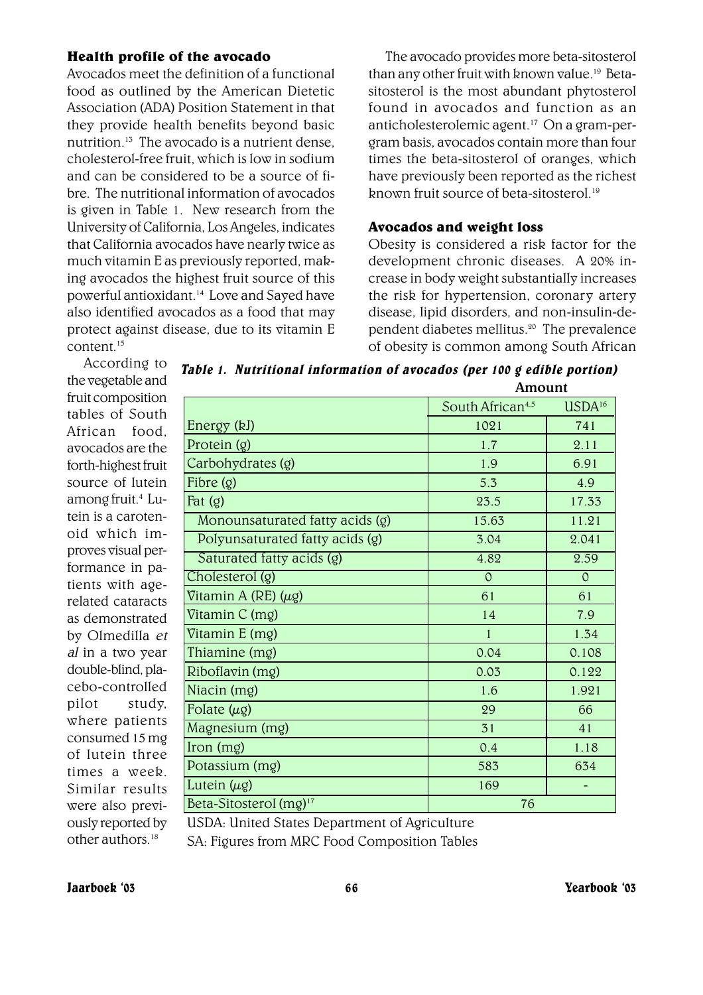#### Health profile of the avocado

Avocados meet the definition of a functional food as outlined by the American Dietetic Association (ADA) Position Statement in that they provide health benefits beyond basic nutrition.13 The avocado is a nutrient dense, cholesterol-free fruit, which is low in sodium and can be considered to be a source of fibre. The nutritional information of avocados is given in Table 1. New research from the University of California, Los Angeles, indicates that California avocados have nearly twice as much vitamin E as previously reported, making avocados the highest fruit source of this powerful antioxidant.14 Love and Sayed have also identified avocados as a food that may protect against disease, due to its vitamin E content<sup>15</sup>

The avocado provides more beta-sitosterol than any other fruit with known value.<sup>19</sup> Betasitosterol is the most abundant phytosterol found in avocados and function as an anticholesterolemic agent.17 On a gram-pergram basis, avocados contain more than four times the beta-sitosterol of oranges, which have previously been reported as the richest known fruit source of beta-sitosterol.19

#### Avocados and weight loss

Obesity is considered a risk factor for the development chronic diseases. A 20% increase in body weight substantially increases the risk for hypertension, coronary artery disease, lipid disorders, and non-insulin-dependent diabetes mellitus.20 The prevalence of obesity is common among South African

According to the vegetable and fruit composition tables of South African food, avocados are the forth-highest fruit source of lutein among fruit.<sup>4</sup> Lutein is a carotenoid which improves visual performance in patients with agerelated cataracts as demonstrated by Olmedilla et al in a two year double-blind, placebo-controlled pilot study, where patients consumed 15 mg of lutein three times a week. Similar results were also previously reported by other authors  $18$ 

Table 1. Nutritional information of avocados (per 100 g edible portion) **Amount**

|                                    | South African <sup>4,5</sup> | $\text{USDA}^{16}$ |
|------------------------------------|------------------------------|--------------------|
| Energy (kJ)                        | 1021                         | 741                |
| Protein $(g)$                      | 1.7                          | 2.11               |
| Carbohydrates (g)                  | 1.9                          | 6.91               |
| Fibre $(g)$                        | 5.3                          | 4.9                |
| Fat $(g)$                          | 23.5                         | 17.33              |
| Monounsaturated fatty acids (g)    | 15.63                        | 11.21              |
| Polyunsaturated fatty acids (g)    | 3.04                         | 2.041              |
| Saturated fatty acids (g)          | 4.82                         | 2.59               |
| Cholesterol (g)                    | $\overline{0}$               | $\overline{O}$     |
| Vitamin A (RE) $(\mu$ g)           | 61                           | 61                 |
| Vitamin C (mg)                     | 14                           | 7.9                |
| Vitamin E (mg)                     | $\mathbf{1}$                 | 1.34               |
| Thiamine (mg)                      | 0.04                         | 0.108              |
| Riboflavin (mg)                    | 0.03                         | 0.122              |
| Niacin (mg)                        | 1.6                          | 1.921              |
| Folate $(\mu g)$                   | 29                           | 66                 |
| Magnesium (mg)                     | 31                           | 41                 |
| $\gamma$ (mg)                      | 0.4                          | 1.18               |
| Potassium (mg)                     | 583                          | 634                |
| Lutein $(\mu g)$                   | 169                          |                    |
| Beta-Sitosterol (mg) <sup>17</sup> | 76                           |                    |

USDA: United States Department of Agriculture SA: Figures from MRC Food Composition Tables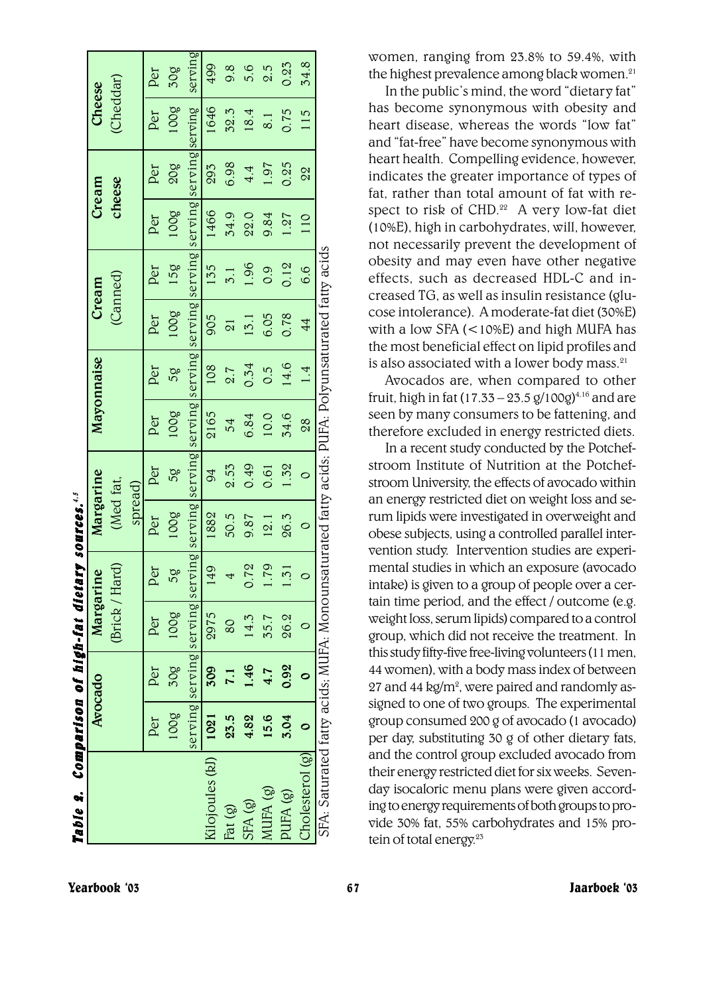| Table 2. Comparison of high-fat dietary sources. <sup>4,5</sup>                                  |      |                  |                                                                                                                 |                  |           |         |      |               |                     |                  |        |            |               |         |
|--------------------------------------------------------------------------------------------------|------|------------------|-----------------------------------------------------------------------------------------------------------------|------------------|-----------|---------|------|---------------|---------------------|------------------|--------|------------|---------------|---------|
|                                                                                                  |      | Avocado          | Margarine                                                                                                       |                  | Margarine |         |      | Mayonnaise    | Cream               |                  | Cream  |            | <b>Cheese</b> |         |
|                                                                                                  |      |                  | (Brick / Hard)                                                                                                  |                  | (Med fat, |         |      |               | (Canned)            |                  | cheese |            | (Cheddar)     |         |
|                                                                                                  |      |                  |                                                                                                                 |                  | spread)   |         |      |               |                     |                  |        |            |               |         |
|                                                                                                  | Per  | Per              | Per                                                                                                             | per              | Per       | Per     | Per  | Per           | Per                 | Per              | Per    | Per        | Per           | Per     |
|                                                                                                  | 100g | 30g              | 100g                                                                                                            | 58               | 100g      | 58      | 100g | 58            | 100g                | 15g              | 100g   | <b>805</b> | 3001          | 50g     |
|                                                                                                  |      |                  | serving serving serving serving serving serving serving serving serving serving serving serving serving serving |                  |           |         |      |               |                     |                  |        |            |               | serving |
| Kilojoules (kJ)   1021                                                                           |      | 509              | 2975                                                                                                            | $\overline{6}$   | 1882      | 94      | 2165 | 108           | 905                 | 135              | 1466   | 293        | 1646          | 499     |
| Fat (g)                                                                                          | 23.5 | $\overline{1.1}$ | 80                                                                                                              | 4                | 50.5      | 2.53    | 54   | 2.7           | $\overline{\Omega}$ | $\overline{5}$ . | 34.9   | 6.98       | 32.3          | 9.8     |
| SFA <sub>(g)</sub>                                                                               | 4.82 | 1.46             | 14.3                                                                                                            | 21.72            | 9.87      | 0.49    | 6.84 | 0.54          | 13.1                | 1.96             | 22.0   | 4.4        | 18.4          | 5.6     |
| MUFA (g)                                                                                         | 15.6 | 4.7              | 35.7                                                                                                            | 61.1             | 12.1      | 0.61    | 10.0 | 0.5           | 6.05                | 0.9              | 9.84   | 1.97       | 8.1           | 2.5     |
| (8) AHId                                                                                         | 3.04 | 0.92             | 26.2                                                                                                            | $\overline{.51}$ | 26.3      | 1.32    | 34.6 | 14.6          | 0.78                | 0.12             | 1.27   | 0.25       | 0.75          | 0.25    |
| Cholesterol (g)                                                                                  |      |                  |                                                                                                                 | $\circ$          | $\circ$   | $\circ$ | 28   | $\frac{4}{1}$ | $\overline{4}$      | 6.6              | 110    | 22         | 115           | 34.8    |
| SFA: Saturated fatty acids; MUFA: Monounsaturated fatty acids; PUFA: Polyunsaturated fatty acids |      |                  |                                                                                                                 |                  |           |         |      |               |                     |                  |        |            |               |         |

women, ranging from 23.8% to 59.4%, with the highest prevalence among black women. $21$ 

In the public's mind, the word "dietary fat" has become synonymous with obesity and heart disease, whereas the words "low fat" and "fat-free" have become synonymous with heart health. Compelling evidence, however, indicates the greater importance of types of fat, rather than total amount of fat with respect to risk of CHD.<sup>22</sup> A very low-fat diet (10%E), high in carbohydrates, will, however, not necessarily prevent the development of obesity and may even have other negative effects, such as decreased HDL-C and increased TG, as well as insulin resistance (glucose intolerance). A moderate-fat diet (30%E) with a low SFA (<10%E) and high MUFA has the most beneficial effect on lipid profiles and is also associated with a lower body mass.<sup>21</sup>

Avocados are, when compared to other fruit, high in fat  $(17.33 - 23.5 g/100g)^{4.16}$  and are seen by many consumers to be fattening, and therefore excluded in energy restricted diets.

In a recent study conducted by the Potchefstroom Institute of Nutrition at the Potchefstroom University, the effects of avocado within an energy restricted diet on weight loss and serum lipids were investigated in overweight and obese subjects, using a controlled parallel intervention study. Intervention studies are experimental studies in which an exposure (avocado intake) is given to a group of people over a certain time period, and the effect / outcome (e.g. weight loss, serum lipids) compared to a control group, which did not receive the treatment. In this study fifty-five free-living volunteers (11 men, 44 women), with a body mass index of between 27 and 44 kg/m<sup>2</sup>, were paired and randomly assigned to one of two groups. The experimental group consumed 200 g of avocado (1 avocado) per day, substituting 30 g of other dietary fats, and the control group excluded avocado from their energy restricted diet for six weeks. Sevenday isocaloric menu plans were given according to energy requirements of both groups to provide 30% fat, 55% carbohydrates and 15% protein of total energy.<sup>23</sup>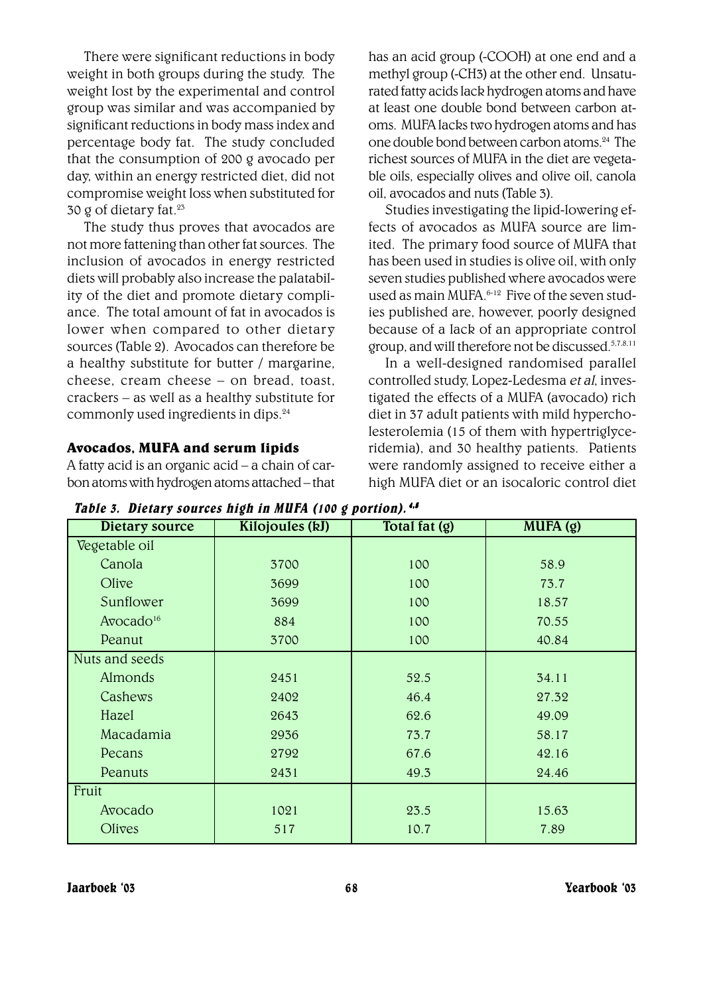There were significant reductions in body weight in both groups during the study. The weight lost by the experimental and control group was similar and was accompanied by significant reductions in body mass index and percentage body fat. The study concluded that the consumption of 200 g avocado per day, within an energy restricted diet, did not compromise weight loss when substituted for 30 g of dietary fat. $23$ 

The study thus proves that avocados are not more fattening than other fat sources. The inclusion of avocados in energy restricted diets will probably also increase the palatability of the diet and promote dietary compliance. The total amount of fat in avocados is lower when compared to other dietary sources (Table 2). Avocados can therefore be a healthy substitute for butter / margarine, cheese, cream cheese - on bread, toast,  $crackets - as well as a healthy substitute for$ commonly used ingredients in dips.24

## Avocados, MUFA and serum lipids

A fatty acid is an organic acid  $-$  a chain of carbon atoms with hydrogen atoms attached - that has an acid group (-COOH) at one end and a methyl group (-CH3) at the other end. Unsaturated fatty acids lack hydrogen atoms and have at least one double bond between carbon atoms. MUFA lacks two hydrogen atoms and has one double bond between carbon atoms.24 The richest sources of MUFA in the diet are vegetable oils, especially olives and olive oil, canola oil, avocados and nuts (Table 3).

Studies investigating the lipid-lowering effects of avocados as MUFA source are limited. The primary food source of MUFA that has been used in studies is olive oil, with only seven studies published where avocados were used as main MUFA. $6-12$  Five of the seven studies published are, however, poorly designed because of a lack of an appropriate control group, and will therefore not be discussed.5,7,8,11

In a well-designed randomised parallel controlled study, Lopez-Ledesma et al, investigated the effects of a MUFA (avocado) rich diet in 37 adult patients with mild hypercholesterolemia (15 of them with hypertriglyceridemia), and 30 healthy patients. Patients were randomly assigned to receive either a high MUFA diet or an isocaloric control diet

| Dietary source        | Kilojoules (kJ) | Total fat (g) | MUPA(g) |
|-----------------------|-----------------|---------------|---------|
| Vegetable oil         |                 |               |         |
| Canola                | 3700            | 100           | 58.9    |
| $O$ live              | 3699            | 100           | 73.7    |
| Sunflower             | 3699            | 100           | 18.57   |
| Avocado <sup>16</sup> | 884             | 100           | 70.55   |
| Peanut                | 3700            | 100           | 40.84   |
| Nuts and seeds        |                 |               |         |
| <b>Almonds</b>        | 2451            | 52.5          | 34.11   |
| Cashews               | 2402            | 46.4          | 27.32   |
| Hazel                 | 2643            | 62.6          | 49.09   |
| Macadamia             | 2936            | 73.7          | 58.17   |
| Pecans                | 2792            | 67.6          | 42.16   |
| Peanuts               | 2431            | 49.3          | 24.46   |
| Fruit                 |                 |               |         |
| Avocado               | 1021            | 23.5          | 15.63   |
| Olives                | 517             | 10.7          | 7.89    |

Table 3. Dietary sources high in MUFA (100 g portion). 4,5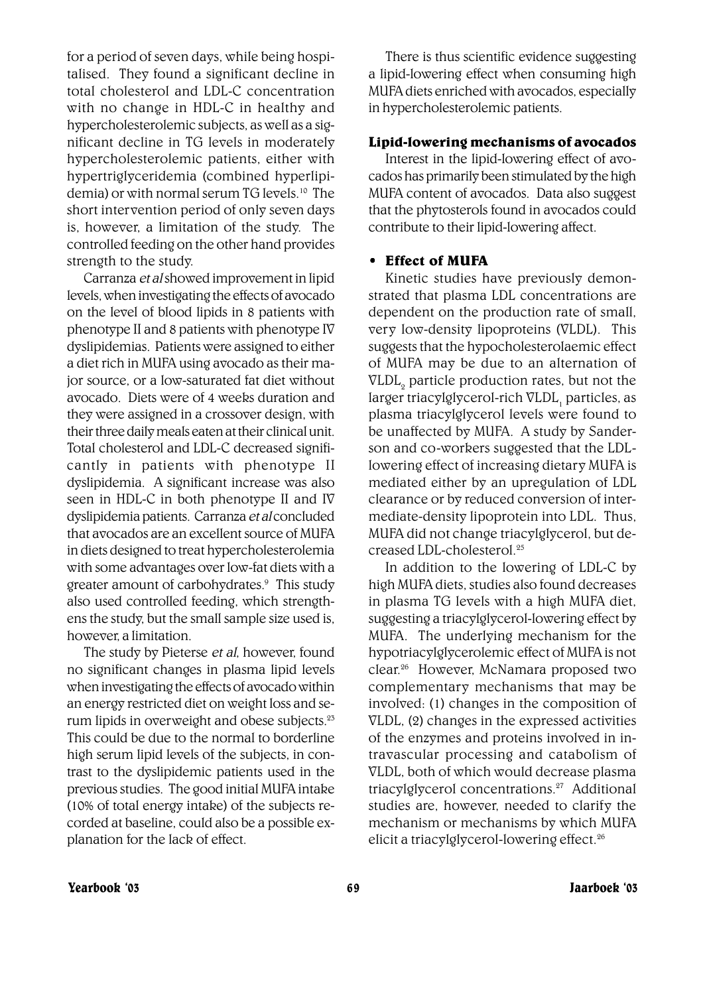for a period of seven days, while being hospitalised. They found a significant decline in total cholesterol and LDL-C concentration with no change in HDL-C in healthy and hypercholesterolemic subjects, as well as a significant decline in TG levels in moderately hypercholesterolemic patients, either with hypertriglyceridemia (combined hyperlipidemia) or with normal serum TG levels.10 The short intervention period of only seven days is, however, a limitation of the study. The controlled feeding on the other hand provides strength to the study.

Carranza et al showed improvement in lipid levels, when investigating the effects of avocado on the level of blood lipids in 8 patients with phenotype II and 8 patients with phenotype IV dyslipidemias. Patients were assigned to either a diet rich in MUFA using avocado as their major source, or a low-saturated fat diet without avocado. Diets were of 4 weeks duration and they were assigned in a crossover design, with their three daily meals eaten at their clinical unit. Total cholesterol and LDL-C decreased significantly in patients with phenotype II dyslipidemia. A significant increase was also seen in HDL-C in both phenotype II and IV dyslipidemia patients. Carranza et al concluded that avocados are an excellent source of MUFA in diets designed to treat hypercholesterolemia with some advantages over low-fat diets with a greater amount of carbohydrates.<sup>9</sup> This study also used controlled feeding, which strengthens the study, but the small sample size used is, however, a limitation.

The study by Pieterse et al, however, found no significant changes in plasma lipid levels when investigating the effects of avocado within an energy restricted diet on weight loss and serum lipids in overweight and obese subjects.23 This could be due to the normal to borderline high serum lipid levels of the subjects, in contrast to the dyslipidemic patients used in the previous studies. The good initial MUFA intake (10% of total energy intake) of the subjects recorded at baseline, could also be a possible explanation for the lack of effect.

There is thus scientific evidence suggesting a lipid-lowering effect when consuming high MUFA diets enriched with avocados, especially in hypercholesterolemic patients.

#### Lipid-lowering mechanisms of avocados

Interest in the lipid-lowering effect of avocados has primarily been stimulated by the high MUFA content of avocados. Data also suggest that the phytosterols found in avocados could contribute to their lipid-lowering affect.

#### • Effect of MUFA

Kinetic studies have previously demonstrated that plasma LDL concentrations are dependent on the production rate of small, very low-density lipoproteins (VLDL). This suggests that the hypocholesterolaemic effect of MUFA may be due to an alternation of  $\mathtt{VLDL}_2$  particle production rates, but not the larger triac<del>y</del>lgl<del>y</del>cerol-rich VLDL<sub>,</sub> particles, as plasma triacylglycerol levels were found to be unaffected by MUFA. A study by Sanderson and co-workers suggested that the LDLlowering effect of increasing dietary MUFA is mediated either by an upregulation of LDL clearance or by reduced conversion of intermediate-density lipoprotein into LDL. Thus, MUFA did not change triacylglycerol, but decreased LDL-cholesterol.25

In addition to the lowering of LDL-C by high MUFA diets, studies also found decreases in plasma TG levels with a high MUFA diet, suggesting a triacylglycerol-lowering effect by MUFA. The underlying mechanism for the hypotriacylglycerolemic effect of MUFA is not clear.<sup>26</sup> However, McNamara proposed two complementary mechanisms that may be involved: (1) changes in the composition of VLDL, (2) changes in the expressed activities of the enzymes and proteins involved in intravascular processing and catabolism of VLDL, both of which would decrease plasma triacylglycerol concentrations.27 Additional studies are, however, needed to clarify the mechanism or mechanisms by which MUFA elicit a triacylglycerol-lowering effect.<sup>26</sup>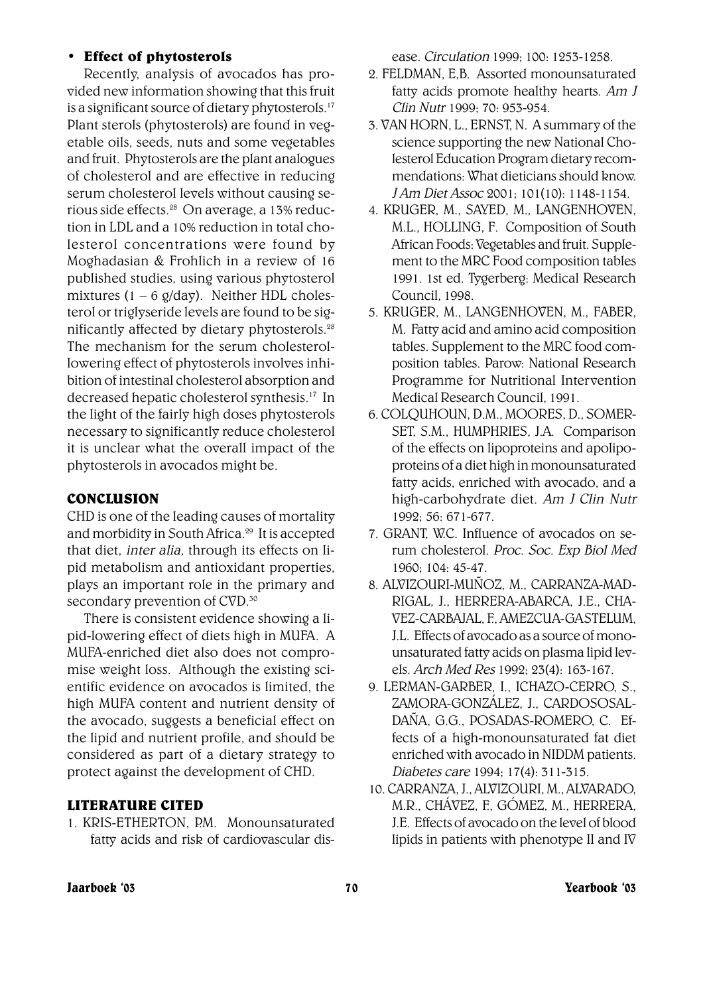#### **ï** Effect of phytosterols

Recently, analysis of avocados has provided new information showing that this fruit is a significant source of dietary phytosterols.<sup>17</sup> Plant sterols (phytosterols) are found in vegetable oils, seeds, nuts and some vegetables and fruit. Phytosterols are the plant analogues of cholesterol and are effective in reducing serum cholesterol levels without causing serious side effects.28 On average, a 13% reduction in LDL and a 10% reduction in total cholesterol concentrations were found by Moghadasian & Frohlich in a review of 16 published studies, using various phytosterol mixtures (1 – 6 g/day). Neither HDL cholesterol or triglyseride levels are found to be significantly affected by dietary phytosterols. $28$ The mechanism for the serum cholesterollowering effect of phytosterols involves inhibition of intestinal cholesterol absorption and decreased hepatic cholesterol synthesis.17 In the light of the fairly high doses phytosterols necessary to significantly reduce cholesterol it is unclear what the overall impact of the phytosterols in avocados might be.

## **CONCLUSION**

CHD is one of the leading causes of mortality and morbidity in South Africa.29 It is accepted that diet, inter alia, through its effects on lipid metabolism and antioxidant properties, plays an important role in the primary and secondary prevention of CVD.<sup>30</sup>

There is consistent evidence showing a lipid-lowering effect of diets high in MUFA. A MUFA-enriched diet also does not compromise weight loss. Although the existing scientific evidence on avocados is limited, the high MUFA content and nutrient density of the avocado, suggests a beneficial effect on the lipid and nutrient profile, and should be considered as part of a dietary strategy to protect against the development of CHD.

## LITERATURE CITED

1. KRIS-ETHERTON PM Monounsaturated fatty acids and risk of cardiovascular disease. Circulation 1999; 100: 1253-1258.

- 2. FELDMAN, E,B. Assorted monounsaturated fatty acids promote healthy hearts. Am J Clin Nutr 1999; 70: 953-954.
- 3. VAN HORN, L., ERNST, N. A summary of the science supporting the new National Cholesterol Education Program dietary recommendations: What dieticians should know. J Am Diet Assoc 2001; 101(10): 1148-1154.
- 4. KRUGER, M., SAYED, M., LANGENHOVEN, M.L., HOLLING, F. Composition of South African Foods: Vegetables and fruit. Supplement to the MRC Food composition tables 1991. 1st ed. Tygerberg: Medical Research Council, 1998.
- 5. KRUGER, M., LANGENHOVEN, M., FABER, M. Fatty acid and amino acid composition tables. Supplement to the MRC food composition tables. Parow: National Research Programme for Nutritional Intervention Medical Research Council, 1991.
- 6. COLQUHOUN, D.M., MOORES, D., SOMER-SET, S.M., HUMPHRIES, J.A. Comparison of the effects on lipoproteins and apolipoproteins of a diet high in monounsaturated fatty acids, enriched with avocado, and a high-carbohydrate diet. Am J Clin Nutr 1992; 56: 671-677.
- 7. GRANT, W.C. Influence of avocados on serum cholesterol. Proc. Soc. Exp Biol Med 1960; 104: 45-47.
- 8. ALVIZOURI-MUÑOZ, M., CARRANZA-MAD-RIGAL, J., HERRERA-ABARCA, J.E., CHA-VEZ-CARBAJAL, F., AMEZCUA-GASTELUM, J.L. Effects of avocado as a source of monounsaturated fatty acids on plasma lipid levels. Arch Med Res 1992; 23(4): 163-167.
- 9. LERMAN-GARBER, I., ICHAZO-CERRO, S., ZAMORA-GONZÁLEZ, J., CARDOSOSAL-DAÑA, G.G., POSADAS-ROMERO, C. Effects of a high-monounsaturated fat diet enriched with avocado in NIDDM patients. Diabetes care 1994; 17(4): 311-315.
- 10. CARRANZA, J., ALVIZOURI, M., ALVARADO, M.R., CHÁVEZ, F., GÓMEZ, M., HERRERA, J.E. Effects of avocado on the level of blood lipids in patients with phenotype II and IV

#### Jaarboek ë03 70 Yearbook ë03